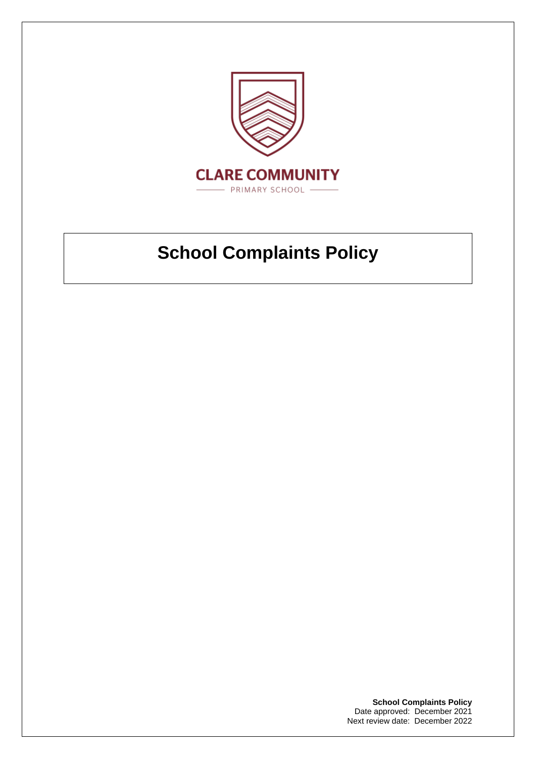

# **School Complaints Policy**

**School Complaints Policy** Date approved: December 2021 Next review date: December 2022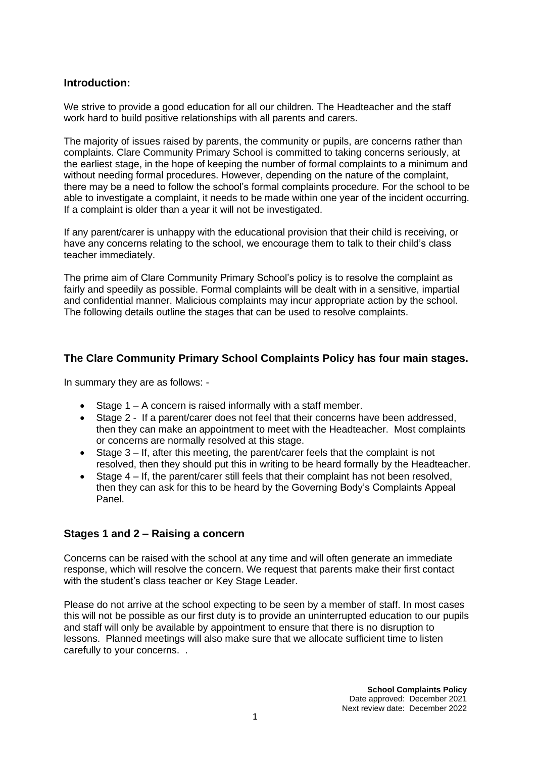## **Introduction:**

We strive to provide a good education for all our children. The Headteacher and the staff work hard to build positive relationships with all parents and carers.

The majority of issues raised by parents, the community or pupils, are concerns rather than complaints. Clare Community Primary School is committed to taking concerns seriously, at the earliest stage, in the hope of keeping the number of formal complaints to a minimum and without needing formal procedures. However, depending on the nature of the complaint, there may be a need to follow the school's formal complaints procedure. For the school to be able to investigate a complaint, it needs to be made within one year of the incident occurring. If a complaint is older than a year it will not be investigated.

If any parent/carer is unhappy with the educational provision that their child is receiving, or have any concerns relating to the school, we encourage them to talk to their child's class teacher immediately.

The prime aim of Clare Community Primary School's policy is to resolve the complaint as fairly and speedily as possible. Formal complaints will be dealt with in a sensitive, impartial and confidential manner. Malicious complaints may incur appropriate action by the school. The following details outline the stages that can be used to resolve complaints.

## **The Clare Community Primary School Complaints Policy has four main stages.**

In summary they are as follows: -

- Stage 1 A concern is raised informally with a staff member.
- Stage 2 If a parent/carer does not feel that their concerns have been addressed. then they can make an appointment to meet with the Headteacher. Most complaints or concerns are normally resolved at this stage.
- Stage 3 If, after this meeting, the parent/carer feels that the complaint is not resolved, then they should put this in writing to be heard formally by the Headteacher.
- Stage 4 If, the parent/carer still feels that their complaint has not been resolved, then they can ask for this to be heard by the Governing Body's Complaints Appeal Panel.

## **Stages 1 and 2 – Raising a concern**

Concerns can be raised with the school at any time and will often generate an immediate response, which will resolve the concern. We request that parents make their first contact with the student's class teacher or Key Stage Leader.

Please do not arrive at the school expecting to be seen by a member of staff. In most cases this will not be possible as our first duty is to provide an uninterrupted education to our pupils and staff will only be available by appointment to ensure that there is no disruption to lessons. Planned meetings will also make sure that we allocate sufficient time to listen carefully to your concerns. .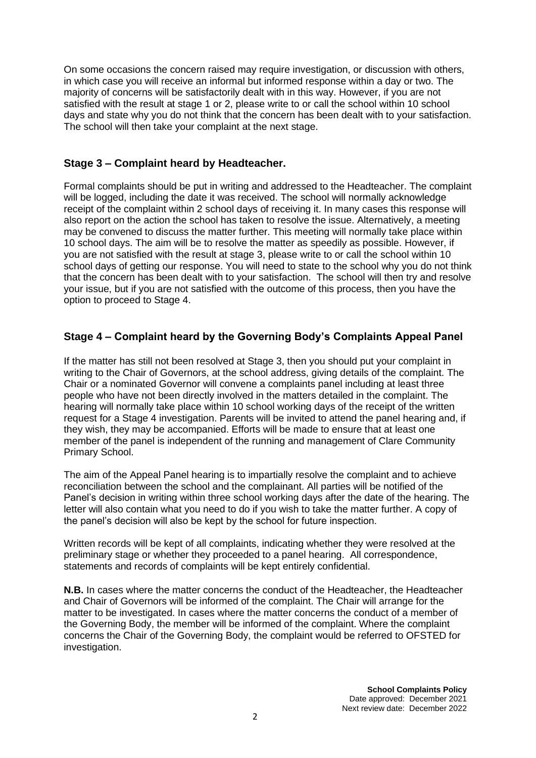On some occasions the concern raised may require investigation, or discussion with others, in which case you will receive an informal but informed response within a day or two. The majority of concerns will be satisfactorily dealt with in this way. However, if you are not satisfied with the result at stage 1 or 2, please write to or call the school within 10 school days and state why you do not think that the concern has been dealt with to your satisfaction. The school will then take your complaint at the next stage.

## **Stage 3 – Complaint heard by Headteacher.**

Formal complaints should be put in writing and addressed to the Headteacher. The complaint will be logged, including the date it was received. The school will normally acknowledge receipt of the complaint within 2 school days of receiving it. In many cases this response will also report on the action the school has taken to resolve the issue. Alternatively, a meeting may be convened to discuss the matter further. This meeting will normally take place within 10 school days. The aim will be to resolve the matter as speedily as possible. However, if you are not satisfied with the result at stage 3, please write to or call the school within 10 school days of getting our response. You will need to state to the school why you do not think that the concern has been dealt with to your satisfaction. The school will then try and resolve your issue, but if you are not satisfied with the outcome of this process, then you have the option to proceed to Stage 4.

## **Stage 4 – Complaint heard by the Governing Body's Complaints Appeal Panel**

If the matter has still not been resolved at Stage 3, then you should put your complaint in writing to the Chair of Governors, at the school address, giving details of the complaint. The Chair or a nominated Governor will convene a complaints panel including at least three people who have not been directly involved in the matters detailed in the complaint. The hearing will normally take place within 10 school working days of the receipt of the written request for a Stage 4 investigation. Parents will be invited to attend the panel hearing and, if they wish, they may be accompanied. Efforts will be made to ensure that at least one member of the panel is independent of the running and management of Clare Community Primary School.

The aim of the Appeal Panel hearing is to impartially resolve the complaint and to achieve reconciliation between the school and the complainant. All parties will be notified of the Panel's decision in writing within three school working days after the date of the hearing. The letter will also contain what you need to do if you wish to take the matter further. A copy of the panel's decision will also be kept by the school for future inspection.

Written records will be kept of all complaints, indicating whether they were resolved at the preliminary stage or whether they proceeded to a panel hearing. All correspondence, statements and records of complaints will be kept entirely confidential.

**N.B.** In cases where the matter concerns the conduct of the Headteacher, the Headteacher and Chair of Governors will be informed of the complaint. The Chair will arrange for the matter to be investigated. In cases where the matter concerns the conduct of a member of the Governing Body, the member will be informed of the complaint. Where the complaint concerns the Chair of the Governing Body, the complaint would be referred to OFSTED for investigation.